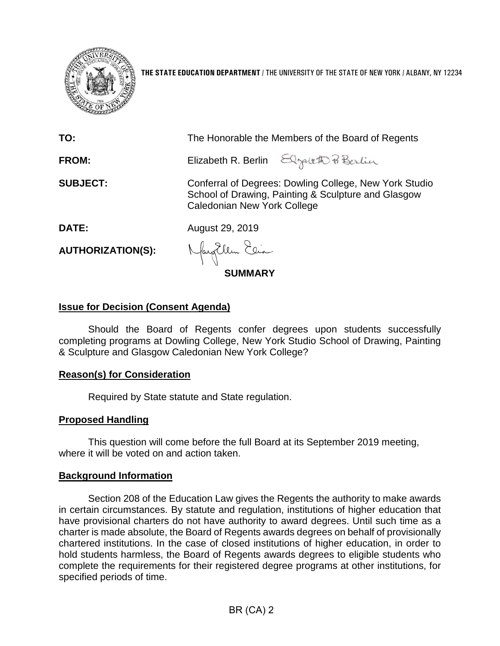

**THE STATE EDUCATION DEPARTMENT** / THE UNIVERSITY OF THE STATE OF NEW YORK / ALBANY, NY 12234

| TO:                      | The Honorable the Members of the Board of Regents                                                                                                   |
|--------------------------|-----------------------------------------------------------------------------------------------------------------------------------------------------|
| FROM:                    | Elizabeth R. Berlin Elgaleth Pi Berlin                                                                                                              |
| <b>SUBJECT:</b>          | Conferral of Degrees: Dowling College, New York Studio<br>School of Drawing, Painting & Sculpture and Glasgow<br><b>Caledonian New York College</b> |
| <b>DATE:</b>             | August 29, 2019                                                                                                                                     |
| <b>AUTHORIZATION(S):</b> | Nayollen Elia                                                                                                                                       |
| <b>SUMMARY</b>           |                                                                                                                                                     |

### **Issue for Decision (Consent Agenda)**

Should the Board of Regents confer degrees upon students successfully completing programs at Dowling College, New York Studio School of Drawing, Painting & Sculpture and Glasgow Caledonian New York College?

### **Reason(s) for Consideration**

Required by State statute and State regulation.

### **Proposed Handling**

This question will come before the full Board at its September 2019 meeting, where it will be voted on and action taken.

#### **Background Information**

Section 208 of the Education Law gives the Regents the authority to make awards in certain circumstances. By statute and regulation, institutions of higher education that have provisional charters do not have authority to award degrees. Until such time as a charter is made absolute, the Board of Regents awards degrees on behalf of provisionally chartered institutions. In the case of closed institutions of higher education, in order to hold students harmless, the Board of Regents awards degrees to eligible students who complete the requirements for their registered degree programs at other institutions, for specified periods of time.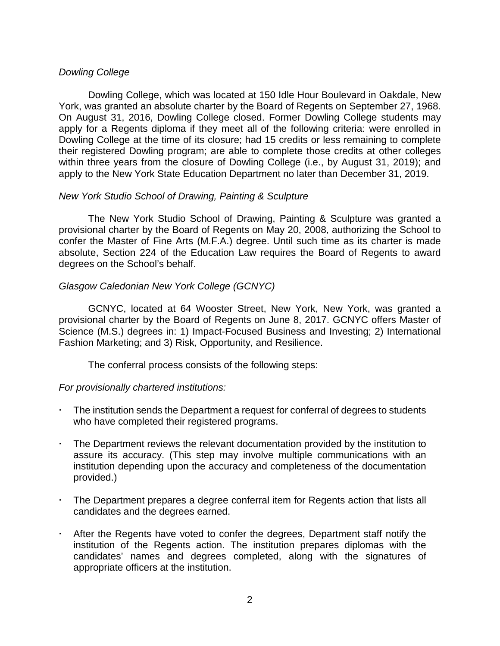### *Dowling College*

Dowling College, which was located at 150 Idle Hour Boulevard in Oakdale, New York, was granted an absolute charter by the Board of Regents on September 27, 1968. On August 31, 2016, Dowling College closed. Former Dowling College students may apply for a Regents diploma if they meet all of the following criteria: were enrolled in Dowling College at the time of its closure; had 15 credits or less remaining to complete their registered Dowling program; are able to complete those credits at other colleges within three years from the closure of Dowling College (i.e., by August 31, 2019); and apply to the New York State Education Department no later than December 31, 2019.

#### *New York Studio School of Drawing, Painting & Sculpture*

The New York Studio School of Drawing, Painting & Sculpture was granted a provisional charter by the Board of Regents on May 20, 2008, authorizing the School to confer the Master of Fine Arts (M.F.A.) degree. Until such time as its charter is made absolute, Section 224 of the Education Law requires the Board of Regents to award degrees on the School's behalf.

## *Glasgow Caledonian New York College (GCNYC)*

GCNYC, located at 64 Wooster Street, New York, New York, was granted a provisional charter by the Board of Regents on June 8, 2017. GCNYC offers Master of Science (M.S.) degrees in: 1) Impact-Focused Business and Investing; 2) International Fashion Marketing; and 3) Risk, Opportunity, and Resilience.

The conferral process consists of the following steps:

### *For provisionally chartered institutions:*

- The institution sends the Department a request for conferral of degrees to students who have completed their registered programs.
- The Department reviews the relevant documentation provided by the institution to assure its accuracy. (This step may involve multiple communications with an institution depending upon the accuracy and completeness of the documentation provided.)
- The Department prepares a degree conferral item for Regents action that lists all candidates and the degrees earned.
- After the Regents have voted to confer the degrees, Department staff notify the institution of the Regents action. The institution prepares diplomas with the candidates' names and degrees completed, along with the signatures of appropriate officers at the institution.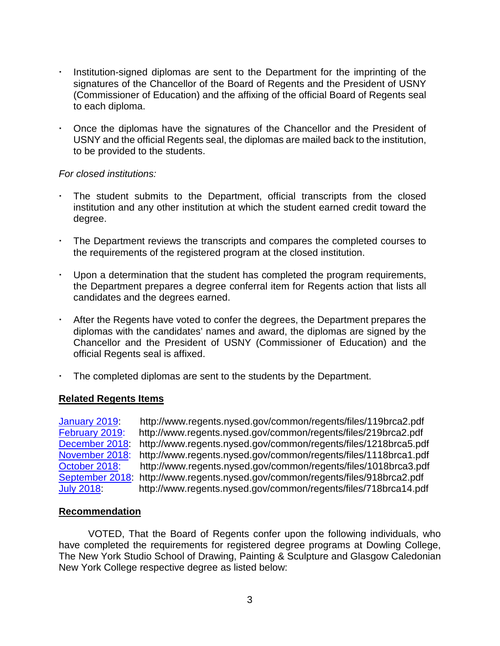- Institution-signed diplomas are sent to the Department for the imprinting of the signatures of the Chancellor of the Board of Regents and the President of USNY (Commissioner of Education) and the affixing of the official Board of Regents seal to each diploma.
- Once the diplomas have the signatures of the Chancellor and the President of USNY and the official Regents seal, the diplomas are mailed back to the institution, to be provided to the students.

### *For closed institutions:*

- The student submits to the Department, official transcripts from the closed institution and any other institution at which the student earned credit toward the degree.
- The Department reviews the transcripts and compares the completed courses to the requirements of the registered program at the closed institution.
- Upon a determination that the student has completed the program requirements, the Department prepares a degree conferral item for Regents action that lists all candidates and the degrees earned.
- After the Regents have voted to confer the degrees, the Department prepares the diplomas with the candidates' names and award, the diplomas are signed by the Chancellor and the President of USNY (Commissioner of Education) and the official Regents seal is affixed.
- The completed diplomas are sent to the students by the Department.

# **Related Regents Items**

[January](http://www.regents.nysed.gov/common/regents/files/119brca2.pdf) 2019: http://www.regents.nysed.gov/common/regents/files/119brca2.pdf http://www.regents.nysed.gov/common/regents/files/219brca2.pdf [December](http://www.regents.nysed.gov/common/regents/files/1218brca5.pdf) 2018: http://www.regents.nysed.gov/common/regents/files/1218brca5.pdf [November](http://www.regents.nysed.gov/common/regents/files/1118brca1.pdf) 2018: http://www.regents.nysed.gov/common/regents/files/1118brca1.pdf [October](http://www.regents.nysed.gov/common/regents/files/1018brca3.pdf) 2018: http://www.regents.nysed.gov/common/regents/files/1018brca3.pdf [September](http://www.regents.nysed.gov/common/regents/files/918brca2.pdf) 2018: http://www.regents.nysed.gov/common/regents/files/918brca2.pdf July [2018:](http://www.regents.nysed.gov/common/regents/files/718brca14.pdf) http://www.regents.nysed.gov/common/regents/files/718brca14.pdf

### **Recommendation**

VOTED, That the Board of Regents confer upon the following individuals, who have completed the requirements for registered degree programs at Dowling College, The New York Studio School of Drawing, Painting & Sculpture and Glasgow Caledonian New York College respective degree as listed below: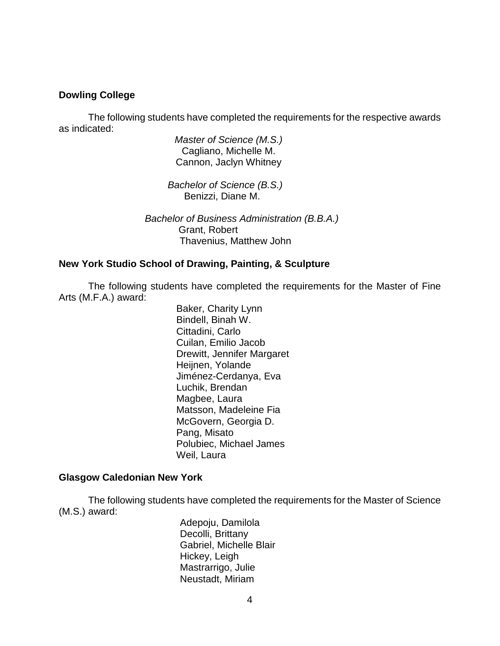#### **Dowling College**

The following students have completed the requirements for the respective awards as indicated:

> *Master of Science (M.S.)* Cagliano, Michelle M. Cannon, Jaclyn Whitney

 *Bachelor of Science (B.S.)* Benizzi, Diane M.

 *Bachelor of Business Administration (B.B.A.)* Grant, Robert Thavenius, Matthew John

#### **New York Studio School of Drawing, Painting, & Sculpture**

The following students have completed the requirements for the Master of Fine Arts (M.F.A.) award:

> Baker, Charity Lynn Bindell, Binah W. Cittadini, Carlo Cuilan, Emilio Jacob Drewitt, Jennifer Margaret Heijnen, Yolande Jiménez-Cerdanya, Eva Luchik, Brendan Magbee, Laura Matsson, Madeleine Fia McGovern, Georgia D. Pang, Misato Polubiec, Michael James Weil, Laura

#### **Glasgow Caledonian New York**

The following students have completed the requirements for the Master of Science (M.S.) award:

> Adepoju, Damilola Decolli, Brittany Gabriel, Michelle Blair Hickey, Leigh Mastrarrigo, Julie Neustadt, Miriam